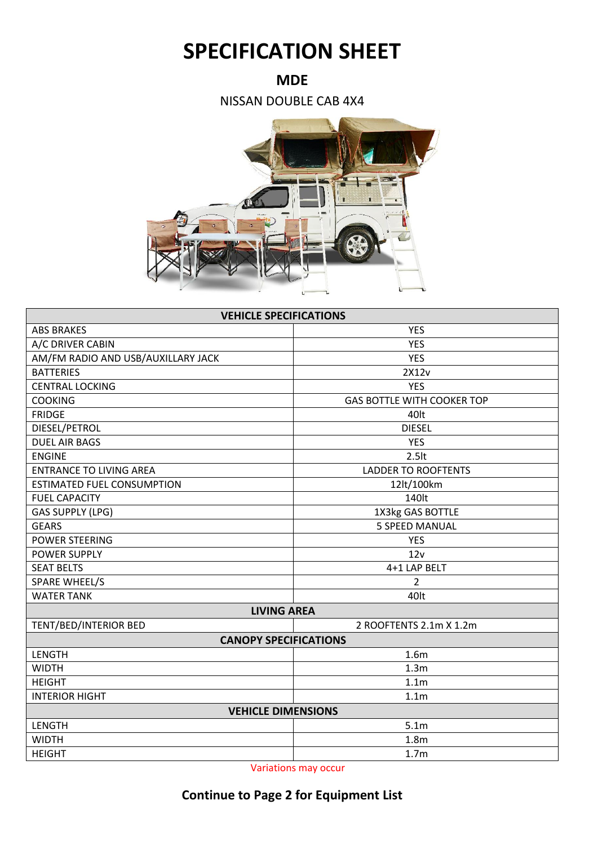## **SPECIFICATION SHEET**

**MDE**

NISSAN DOUBLE CAB 4X4



| <b>VEHICLE SPECIFICATIONS</b>      |                                   |  |  |
|------------------------------------|-----------------------------------|--|--|
| <b>ABS BRAKES</b>                  | <b>YES</b>                        |  |  |
| A/C DRIVER CABIN                   | <b>YES</b>                        |  |  |
| AM/FM RADIO AND USB/AUXILLARY JACK | <b>YES</b>                        |  |  |
| <b>BATTERIES</b>                   | 2X12v                             |  |  |
| <b>CENTRAL LOCKING</b>             | <b>YES</b>                        |  |  |
| <b>COOKING</b>                     | <b>GAS BOTTLE WITH COOKER TOP</b> |  |  |
| <b>FRIDGE</b>                      | 40lt                              |  |  |
| DIESEL/PETROL                      | <b>DIESEL</b>                     |  |  |
| <b>DUEL AIR BAGS</b>               | <b>YES</b>                        |  |  |
| <b>ENGINE</b>                      | 2.5lt                             |  |  |
| <b>ENTRANCE TO LIVING AREA</b>     | <b>LADDER TO ROOFTENTS</b>        |  |  |
| <b>ESTIMATED FUEL CONSUMPTION</b>  | 12lt/100km                        |  |  |
| <b>FUEL CAPACITY</b>               | 140lt                             |  |  |
| <b>GAS SUPPLY (LPG)</b>            | 1X3kg GAS BOTTLE                  |  |  |
| <b>GEARS</b>                       | <b>5 SPEED MANUAL</b>             |  |  |
| <b>POWER STEERING</b>              | <b>YES</b>                        |  |  |
| <b>POWER SUPPLY</b>                | 12v                               |  |  |
| <b>SEAT BELTS</b>                  | 4+1 LAP BELT                      |  |  |
| <b>SPARE WHEEL/S</b>               | 2                                 |  |  |
| <b>WATER TANK</b>                  | 40lt                              |  |  |
| <b>LIVING AREA</b>                 |                                   |  |  |
| TENT/BED/INTERIOR BED              | 2 ROOFTENTS 2.1m X 1.2m           |  |  |
| <b>CANOPY SPECIFICATIONS</b>       |                                   |  |  |
| LENGTH                             | 1.6 <sub>m</sub>                  |  |  |
| <b>WIDTH</b>                       | 1.3 <sub>m</sub>                  |  |  |
| <b>HEIGHT</b>                      | 1.1 <sub>m</sub>                  |  |  |
| <b>INTERIOR HIGHT</b>              | 1.1 <sub>m</sub>                  |  |  |
| <b>VEHICLE DIMENSIONS</b>          |                                   |  |  |
| LENGTH                             | 5.1 <sub>m</sub>                  |  |  |
| <b>WIDTH</b>                       | 1.8 <sub>m</sub>                  |  |  |
| <b>HEIGHT</b>                      | 1.7 <sub>m</sub>                  |  |  |

Variations may occur